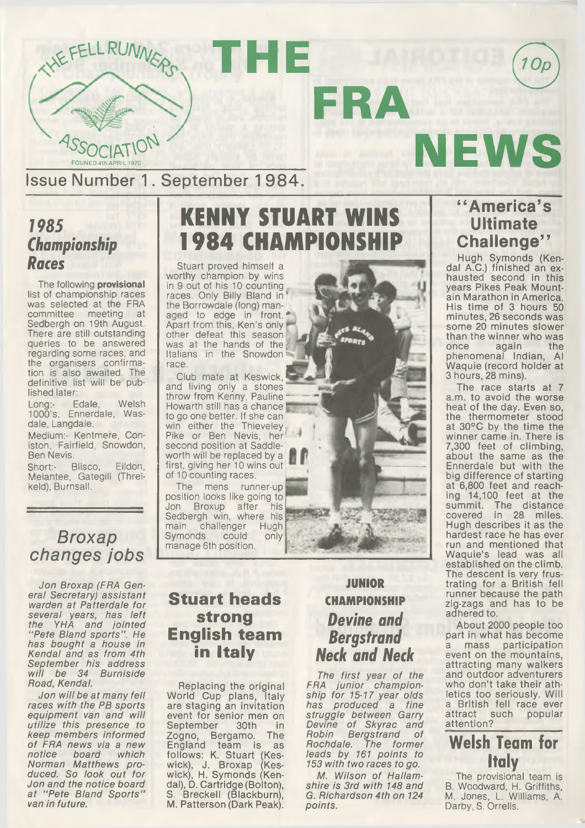

Issue Number 1. September 1 984.

### *1985 Championship Races*

The following provisional list of championship races was selected at the FRA<br>committee meeting at committee meeting Sedbergh on 19th August. There are still outstanding queries to be answered regarding some races, and the organisers confirmation is also awaited. The definitive list will be published later:

Long:- Edale, Welsh 1000's, Ennerdale, Wasdale, Langdale.

Medium:- Kentmere, Coniston, Fairfield, Snowdon, Ben Nevis.

Short:- Blisco, Eildon, Meiantee, Gategill (Threlkeld), Burnsall.

### **KENNY STUART 1984 CHAMPIONSH**

**FRA**

Stuart proved himself a worthy champion by wins in 9 out of his 10 counting races. Only Billy Bland in\* the Borrowdale (long) managed to edge in front. *\** Apart from this, Ken's only other defeat this season 7 was at the hands of the Italians in the Snowdon race.

Club mate at Keswick, and living only a stones throw from Kenny, Pauline Howarth still has a chance to go one better. If she can win either the Thieveley Pike or Ben Nevis, her' second position at Saddleworth will be replaced by a first, giving her 10 wins out of 10 counting races.

The mens runner-up position looks like going to<br>Jon Broxup after his Jon Broxup after Sedbergh win, where his<br>main challenger Hugh main challenger Hugh<br>Symonds could only Symonds manage 6th position.



#### *Broxap changes jobs*

*Jon Broxap (FRA General Secretary) assistant warden at Patterdate for several years, has left the YHA and jointed " Pete Bland sports" . He has bought a house in Kendal and as from 4th September his address w ill be 34 Burniside Road, Kendal.*

*Jon w ill be at many fell races with the PB sports equipment van and will utilize this presence to keep members informed of FRA news via a new notice board which Norman Matthews produced. So look out for Jon and the notice board at ''Pete Bland Sports" van in future.*

#### **Stuart heads strong English team in Italy**

Replacing the original World Cup plans, Italy are staging an invitation event for senior men on<br>September 30th in September 30th in Zogno, Bergamo. The England team is as follows: K. Stuart (Keswick), J. Broxap (Keswick), H. Symonds (Kendal), D. Cartridge (Bolton), S. Breckell (Blackburn), M. Patterson (Dark Peak).

#### **JUNIOR CHAMPIONSHIP** *Devine and Bergstrand Neck and Neck*

*The first year of the FRA junior championship for 15-17 year olds has produced a fine struggle between Garry Devine of Skyrac and Robin Bergstrand of Rochdale. The former leads by 161 points to 153 with two races to go.*

*M. Wilson of Hallamshire is 3rd with 148 and G. Richardson 4th on 124 points.*

#### **" America's Ultimate Challenge"**

**NEWS**

10p

Hugh Symonds (Kendal A.C.) finished an exhausted second in this years Pikes Peak Mountain Marathon in America. His time of 3 hours 50 minutes, 26 seconds was some 20 minutes slower than the winner who was<br>once again the once again the phenomenal Indian, Al Waquie (record holder at 3 hours, 28 mins).

The race starts at 7 a.m. to avoid the worse heat of the day. Even so, the thermometer stood at 30°C by the time the winner came in. There is 7,300 feet of climbing, about the same as the Ennerdale but with the big difference of starting at 6,800 feet and reaching 14,100 feet at the summit. The distance covered in 28 miles. Hugh describes it as the hardest race he has ever run and mentioned that Waquie's lead was all established on the climb. The descent is very frustrating for a British fell runner because the path zig-zags and has to be adhered to.

About 2000 people too part in what has become a mass participation event on the mountains, attracting many walkers and outdoor adventurers who don't take their athletics too seriously. Will a British fell race ever<br>attract such popular popular attention?

#### Welsh Team for Italy

The provisional team is B. Woodward, H. Griffiths, M. Jones, L. Williams, A. Darby, S. Orrells.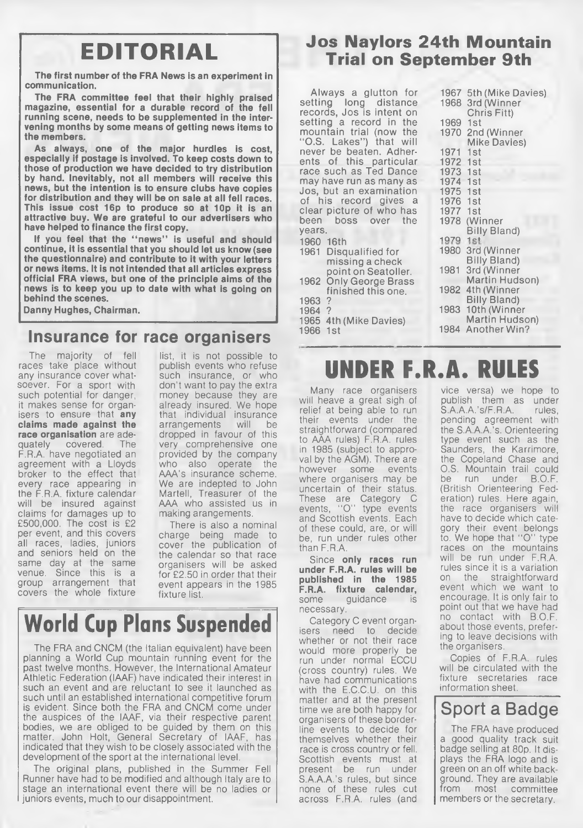The first number of the FRA News is an experiment in communication.

The FRA committee feel that their highly praised magazine, essential for a durable record of the fell running scene, needs to be supplemented in the intervening months by some means of getting news items to the members.

As always, one of the major hurdles is cost, especially if postage is involved. To keep costs down to those of production we have decided to try distribution by hand. Inevitably, not all members will receive this news, but the intention is to ensure clubs have copies for distribution and they will be on sale at all fell races. This issue cost 16p to produce so at 10p it is an attractive buy. We are grateful to our advertisers who have helped to finance the first copy.

If you feel that the "news" is useful and should continue, it is essential that you should let us know (see the questionnaire) and contribute to it with your letters or news items. It is not intended that all articles express official FRA views, but one of the principle aims of the news is to keep you up to date with what is going on behind the scenes.

Danny Hughes, Chairman.

#### **Insurance for race organisers**

The majority of fell races take place without any insurance cover whatsoever. For a sport with such potential for danger. it makes sense for organisers to ensure that any claims made against the race organisation are ade-<br>quately covered. The covered. F.R.A. have negotiated an agreement with a Lloyds broker to the effect that every race appearing in the F.R.A. fixture calendar will be insured against claims for damages up to £500,000. The cost is £2 per event, and this covers all races, ladies, juniors and seniors held on the same day at the same venue. Since this is a group arrangement that covers the whole fixture

list, it is not possible to publish events who refuse such insurance, or who don't want to pay the extra money because they are already insured. We hope that individual insurance<br>arrangements will be arrangements dropped in favour of this very comprehensive one provided by the company who also operate the AAA's insurance scheme. We are indepted to John Martell, Treasurer of the AAA who assisted us in making arangements.

There is also a nominal charge being made to cover the publication of the calendar so that race organisers will be asked for £2.50 in order that their event appears in the 1985 fixture list.

## **World Cup Plans Suspended**

The FRA and CNCM (the Italian equivalent) have been planning a World Cup mountain running event for the past twelve months. However, the International Amateur Athletic Federation (IAAF) have indicated their interest in such an event and are reluctant to see it launched as such until an established international competitive forum is evident. Since both the FRA and CNCM come under the auspices of the IAAF, via their respective parent bodies, we are obliged to be guided by them on this matter. John Holt, General Secretary of IAAF, has indicated that they wish to be closely associated with the development of the sport at the international level.

The original plans, published in the Summer Fell Runner have had to be modified and although Italy are to stage an international event there will be no ladies or juniors events, much to our disappointment.

# **Jos Naylors 24th Mountain EDITORIAL Trial on September 9th**

Always a glutton for setting long distance records, Jos is intent on setting a record in the mountain trial (now the "O.S. Lakes") that will never be beaten. Adherents of this particular race such as Ted Dance may have run as many as Jos, but an examination of his record gives a clear picture of who has boss over the years. 1960 16th 1961 Disqualified for missing a check point on Seatoller. 1962 Only George Brass finished this one. 1963 ? 1964 ? 1965 4th (Mike Davies) 1966 1st 1967 5th (Mike Davies) 1968 3rd (Winner Chris Fitt) 1969 1st 1970 2nd(Winner Mike Davies) 1971 1st 1972 1st 1973 1st 1974 1st 1975 1st 1976 1st 1977<br>1978 (Winner) Billy Bland) 1979 1980 3rd (Winner Billy Bland) 1981 3rd (Winner Martin Hudson) 1982 4th (Winner Billy Bland) 1983 10th (Winner Martin Hudson) 1984 Another Win?

### UNDER F.R.A. RULES

Many race organisers will heave a great sigh of relief at being able to run their events under the straightforward (compared to AAA rules) F.R.A. rules in 1985 (subject to approval by the AGM). There are however some events where organisers may be uncertain of their status. These are Category C events, "O" type events and Scottish events. Each of these could, are, or will be, run under rules other than F.R.A.

Since only races run under F.R.A. rules will be published in the 1985 **F.R.A. fixture calendar,**<br>some quidance is guidance is necessary.

Category C event organisers need to decide whether or not their race would more properly be run under normal ECCU (cross country) rules. We have had communications with the E.C.C.U. on this matter and at the present time we are both happy for organisers of these borderline events to decide for themselves whether their race is cross country or fell. Scottish events must at present be run under S.A.A.A.'s rules, but since none of these rules cut across F.R.A. rules (and

vice versa) we hope to publish them as under<br>S.A.A.A.'s/F.R.A. rules,  $S.A.A.A.'s/F.R.A.$ pending agreement with the S.A.A.A.'s. Orienteering type event such as the Saunders, the Karrimore, the Copeland Chase and O.S. Mountain trail could<br>be run under BOE run under B.O.F. (British Orienteering Federation) rules. Here again, the race organisers will have to decide which category their event belongs to. We hope that "O" type races on the mountains will be run under F.R.A. rules since it is a variation on the straightforward event which we want to encourage. It is only fair to point out that we have had no contact with B.O.F. about those events, prefering to leave decisions with the organisers.

Copies of F.R.A. rules will be circulated with the fixture secretaries race information sheet.

#### Sport a Badge

The FRA have produced a good quality track suit badge selling at 80p. It displays the FRA logo and is green on an off white background. They are available from most committee members or the secretary.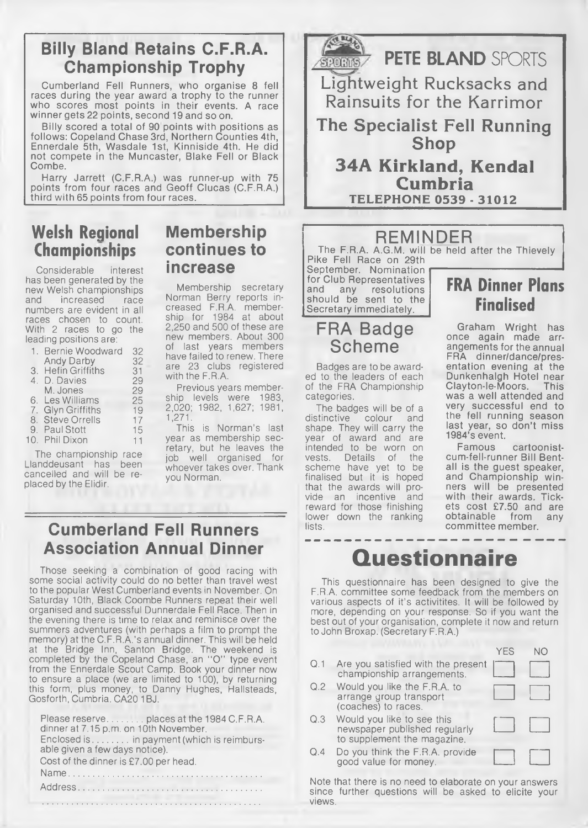#### **Billy Bland Retains C.F.R.A. Championship Trophy**

Cumberland Fell Runners, who organise 8 fell races during the year award a trophy to the runner who scores most points in their events. A race winner gets 22 points, second 19 and so on.

Billy scored a total of 90 points with positions as follows: Copeland Chase 3rd, Northern Counties 4th, Ennerdale 5th, Wasdale 1st, Kinniside 4th. He did not compete in the Muncaster, Blake Fell or Black Combe.

Harry Jarrett (C.F.R.A.) was runner-up with 75 points from four races and Geoff Clucas (C.F.R.A.) third with 65 points from four races.

#### Welsh Regional Championships

Considerable interest has been generated by the new Welsh championships<br>and increased race increased numbers are evident in all races chosen to count. With 2 races to go the leading positions are:

| 1. Bernie Woodward | 32 |
|--------------------|----|
| <b>Andy Darby</b>  | 32 |
| 3. Hefin Griffiths | 31 |
| 4. D. Davies       | 29 |
| M. Jones           | 29 |
| 6. Les Williams    | 25 |
| 7. Glyn Griffiths  | 19 |
| 8. Steve Orrells   | 17 |
| 9. Paul Stott      | 15 |
| 10. Phil Dixon     | 11 |

The championship race Llanddeusant has been cancelled and will be replaced by the Elidir.

#### **Membership continues to increase**

Membership secretary Norman Berry reports increased F.RA. membership for 1984 at about 2,250 and 500 of these are new members. About 300 of last years members have failed to renew. There are 23 clubs registered with the F.R.A.

Previous years membership levels were 1983, 2,020; 1982, 1,627; 1981, 1,271.

This is Norman's last year as membership secretary, but he leaves the job well organised for whoever takes over. Thank you Norman.

#### $\sqrt{2}$ **PETE BLAND** SPORTS  $$20R$ Lightweight Rucksacks and Rainsuits for the Karrimor **The Specialist Fell Running Shop 34A Kirkland, Kendal Cumbria TELEPHONE 0539 - 31012**

#### REMINDER

The F.R.A. A.G.M. will be held after the Thievely Pike Fell Race on 29th September. Nomination

for Club Representatives<br>and any resolutions and any resolutions should be sent to the Secretary immediately.

#### FRA Badge Scheme

Badges are to be awarded to the leaders of each of the FRA Championship categories.

The badges will be of a distinctive colour and shape. They will carry the year of award and are intended to be worn on<br>vests. Details of the Details of the scheme have yet to be finalised but it is hoped that the awards will provide an incentive and reward for those finishing lower down the ranking lists.

#### **FRA Dinner Plans** Finalised

Graham Wright has once again made arrangements for the annual FRA dinner/dance/presentation evening at the Dunkenhalgh Hotel near<br>Clayton-le-Moors. This Clayton-le-Moors. was a well attended and very successful end to the fell running season last year, so don't miss 1984's event.

Famous cartoonistcum-fell-runner Bill Bentall is the guest speaker, and Championship winners will be presented with their awards. Tickets cost £7.50 and are obtainable from any committee member.

#### **Cumberland Fell Runners Association Annual Dinner**

Those seeking a combination of good racing with some social activity could do no better than travel west to the popular West Cumberland events in November. On Saturday 10th, Black Coombe Runners repeat their well organised and successful Dunnerdale Fell Race. Then in the evening there is time to relax and reminisce over the summers adventures (with perhaps a film to prompt the memory) at the C.F.R.A.'s annual dinner. This will be held at the Bridge Inn, Santon Bridge. The weekend is completed by the Copeland Chase, an " O" type event from the Ennerdale Scout Camp. Book your dinner now to ensure a place (we are limited to 100), by returning this form, plus money, to Danny Hughes, Hallsteads, Gosforth, Cumbria. CA20 1BJ.

Please reserve.......... places at the 1984 C.F.R.A. dinner at 7.15 p.m. on 10th November. Enclosed is . . . . . . . . in payment (which is reimbursable given a few days notice). Cost of the dinner is £7.00 per head. Name..........................

### **Questionnaire**

This questionnaire has been designed to give the F.R.A. committee some feedback from the members on various aspects of it's activitites. It will be followed by more, depending on your response. So if you want the best out of your organisation, complete it now and return to John Broxap. (Secretary F.R.A.)

- Q.1 Are you satisfied with the present championship arrangements.
- Q.2 Would you like the F.R.A. to arrange group transport (coaches) to races.

Q.3 Would you like to see this

| Would you like the F.R.A. to                                                               |  |
|--------------------------------------------------------------------------------------------|--|
| arrange group transport<br>(coaches) to races.                                             |  |
| Would you like to see this<br>newspaper published regularly<br>to supplement the magazine. |  |
| Do you think the F.R.A. provide                                                            |  |

YES NO

Q.4 Do you think the F.R.A. prov good value for money.

Address. Note that there is no need to elaborate on your answers since further questions will be asked to elicite your views.